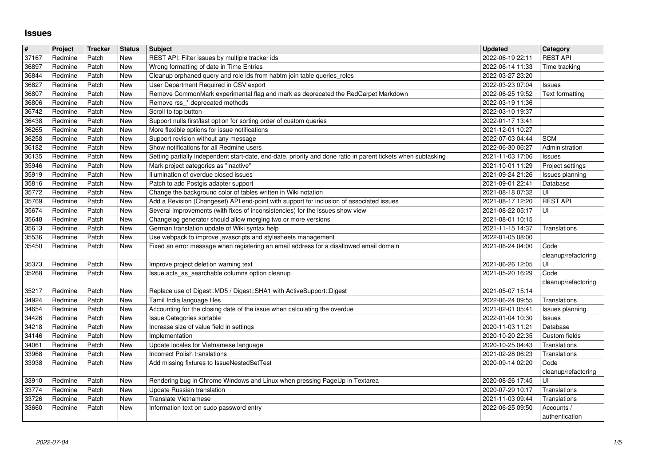## **Issues**

| $\overline{\mathbf{r}}$ | Project            | <b>Tracker</b> | <b>Status</b> | <b>Subject</b>                                                                                                                                         | <b>Updated</b>                       | Category                         |
|-------------------------|--------------------|----------------|---------------|--------------------------------------------------------------------------------------------------------------------------------------------------------|--------------------------------------|----------------------------------|
| 37167<br>36897          | Redmine<br>Redmine | Patch<br>Patch | New<br>New    | REST API: Filter issues by multiple tracker ids<br>Wrong formatting of date in Time Entries                                                            | 2022-06-19 22:11<br>2022-06-14 11:33 | <b>REST API</b><br>Time tracking |
| 36844                   | Redmine            | Patch          | New           | Cleanup orphaned query and role ids from habtm join table queries_roles                                                                                | 2022-03-27 23:20                     |                                  |
| 36827<br>36807          | Redmine<br>Redmine | Patch<br>Patch | New<br>New    | User Department Required in CSV export<br>Remove CommonMark experimental flag and mark as deprecated the RedCarpet Markdown                            | 2022-03-23 07:04<br>2022-06-25 19:52 | Issues<br>Text formatting        |
| 36806                   | Redmine            | Patch          | New           | Remove rss_* deprecated methods                                                                                                                        | 2022-03-19 11:36                     |                                  |
| 36742                   | Redmine            | Patch          | New           | Scroll to top button                                                                                                                                   | 2022-03-10 19:37                     |                                  |
| 36438<br>36265          | Redmine<br>Redmine | Patch<br>Patch | New<br>New    | Support nulls first/last option for sorting order of custom queries<br>More flexible options for issue notifications                                   | 2022-01-17 13:41<br>2021-12-01 10:27 |                                  |
| 36258                   | Redmine            | Patch          | New           | Support revision without any message                                                                                                                   | 2022-07-03 04:44                     | <b>SCM</b>                       |
| 36182<br>36135          | Redmine            | Patch<br>Patch | New           | Show notifications for all Redmine users                                                                                                               | 2022-06-30 06:27                     | Administration                   |
| 35946                   | Redmine<br>Redmine | Patch          | New<br>New    | Setting partially independent start-date, end-date, priority and done ratio in parent tickets when subtasking<br>Mark project categories as "inactive" | 2021-11-03 17:06<br>2021-10-01 11:29 | Issues<br>Project settings       |
| 35919                   | Redmine            | Patch          | New           | Illumination of overdue closed issues                                                                                                                  | 2021-09-24 21:26                     | Issues planning                  |
| 35816<br>35772          | Redmine<br>Redmine | Patch<br>Patch | New<br>New    | Patch to add Postgis adapter support<br>Change the background color of tables written in Wiki notation                                                 | 2021-09-01 22:41<br>2021-08-18 07:32 | Database<br>UI                   |
| 35769                   | Redmine            | Patch          | New           | Add a Revision (Changeset) API end-point with support for inclusion of associated issues                                                               | 2021-08-17 12:20                     | <b>REST API</b>                  |
| 35674                   | Redmine            | Patch          | New           | Several improvements (with fixes of inconsistencies) for the issues show view                                                                          | 2021-08-22 05:17                     | UI                               |
| 35648<br>35613          | Redmine<br>Redmine | Patch<br>Patch | New<br>New    | Changelog generator should allow merging two or more versions<br>German translation update of Wiki syntax help                                         | 2021-08-01 10:15<br>2021-11-15 14:37 | Translations                     |
| 35536                   | Redmine            | Patch          | New           | Use webpack to improve javascripts and stylesheets management                                                                                          | 2022-01-05 08:00                     |                                  |
| 35450                   | Redmine            | Patch          | New           | Fixed an error message when registering an email address for a disallowed email domain                                                                 | 2021-06-24 04:00                     | Code                             |
| 35373                   | Redmine            | Patch          | New           | Improve project deletion warning text                                                                                                                  | 2021-06-26 12:05                     | cleanup/refactoring<br>UI        |
| 35268                   | Redmine            | Patch          | New           | Issue.acts_as_searchable columns option cleanup                                                                                                        | 2021-05-20 16:29                     | Code                             |
|                         |                    |                |               |                                                                                                                                                        |                                      | cleanup/refactoring              |
| 35217<br>34924          | Redmine<br>Redmine | Patch<br>Patch | New<br>New    | Replace use of Digest:: MD5 / Digest:: SHA1 with ActiveSupport:: Digest<br>Tamil India language files                                                  | 2021-05-07 15:14<br>2022-06-24 09:55 | Translations                     |
| 34654                   | Redmine            | Patch          | <b>New</b>    | Accounting for the closing date of the issue when calculating the overdue                                                                              | 2021-02-01 05:41                     | Issues planning                  |
| 34426                   | Redmine            | Patch          | New           | Issue Categories sortable                                                                                                                              | 2022-01-04 10:30                     | Issues                           |
| 34218<br>34146          | Redmine<br>Redmine | Patch<br>Patch | New<br>New    | Increase size of value field in settings<br>Implementation                                                                                             | 2020-11-03 11:21<br>2020-10-20 22:35 | Database<br>Custom fields        |
| 34061                   | Redmine            | Patch          | New           | Update locales for Vietnamese language                                                                                                                 | 2020-10-25 04:43                     | Translations                     |
| 33968                   | Redmine            | Patch          | New           | Incorrect Polish translations                                                                                                                          | 2021-02-28 06:23                     | Translations                     |
| 33938                   | Redmine            | Patch          | New           | Add missing fixtures to IssueNestedSetTest                                                                                                             | 2020-09-14 02:20                     | Code<br>cleanup/refactoring      |
| 33910                   | Redmine            | Patch          | New           | Rendering bug in Chrome Windows and Linux when pressing PageUp in Textarea                                                                             | 2020-08-26 17:45                     | UI                               |
| 33774<br>33726          | Redmine<br>Redmine | Patch          | New<br>New    | Update Russian translation<br>Translate Vietnamese                                                                                                     | 2020-07-29 10:17                     | Translations                     |
| 33660                   | Redmine            | Patch<br>Patch | New           | Information text on sudo password entry                                                                                                                | 2021-11-03 09:44<br>2022-06-25 09:50 | Translations<br>Accounts /       |
|                         |                    |                |               |                                                                                                                                                        |                                      |                                  |
|                         |                    |                |               |                                                                                                                                                        |                                      |                                  |
|                         |                    |                |               |                                                                                                                                                        |                                      |                                  |
|                         |                    |                |               |                                                                                                                                                        |                                      |                                  |
|                         |                    |                |               |                                                                                                                                                        |                                      |                                  |
|                         |                    |                |               |                                                                                                                                                        |                                      |                                  |
|                         |                    |                |               |                                                                                                                                                        |                                      |                                  |
|                         |                    |                |               |                                                                                                                                                        |                                      |                                  |
|                         |                    |                |               |                                                                                                                                                        |                                      |                                  |
|                         |                    |                |               |                                                                                                                                                        |                                      |                                  |
|                         |                    |                |               |                                                                                                                                                        |                                      |                                  |
|                         |                    |                |               |                                                                                                                                                        |                                      |                                  |
|                         |                    |                |               |                                                                                                                                                        |                                      |                                  |
|                         |                    |                |               |                                                                                                                                                        |                                      |                                  |
|                         |                    |                |               |                                                                                                                                                        |                                      |                                  |
|                         |                    |                |               |                                                                                                                                                        |                                      |                                  |
|                         |                    |                |               |                                                                                                                                                        |                                      |                                  |
|                         |                    |                |               |                                                                                                                                                        |                                      |                                  |
|                         |                    |                |               |                                                                                                                                                        |                                      |                                  |
|                         |                    |                |               |                                                                                                                                                        |                                      |                                  |
|                         |                    |                |               |                                                                                                                                                        |                                      |                                  |
|                         |                    |                |               |                                                                                                                                                        |                                      |                                  |
|                         |                    |                |               |                                                                                                                                                        |                                      |                                  |
|                         |                    |                |               |                                                                                                                                                        |                                      |                                  |
|                         |                    |                |               |                                                                                                                                                        |                                      |                                  |
|                         |                    |                |               |                                                                                                                                                        |                                      |                                  |
|                         |                    |                |               |                                                                                                                                                        |                                      |                                  |
|                         |                    |                |               |                                                                                                                                                        |                                      |                                  |
|                         |                    |                |               |                                                                                                                                                        |                                      |                                  |
|                         |                    |                |               |                                                                                                                                                        |                                      |                                  |
|                         |                    |                |               |                                                                                                                                                        |                                      |                                  |
|                         |                    |                |               |                                                                                                                                                        |                                      |                                  |
|                         |                    |                |               |                                                                                                                                                        |                                      |                                  |
|                         |                    |                |               |                                                                                                                                                        |                                      |                                  |
|                         |                    |                |               |                                                                                                                                                        |                                      |                                  |
|                         |                    |                |               |                                                                                                                                                        |                                      |                                  |
|                         |                    |                |               |                                                                                                                                                        |                                      |                                  |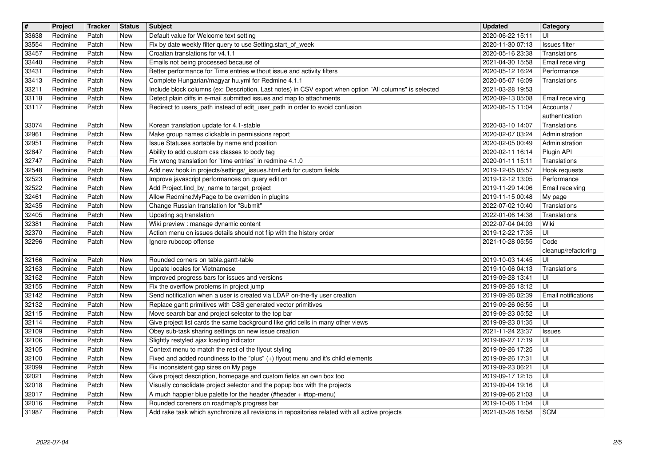| $\overline{\mathbf{H}}$ | Project            | <b>Tracker</b> | <b>Status</b> | <b>Subject</b>                                                                                                                                                                  | <b>Updated</b>                       | Category                       |
|-------------------------|--------------------|----------------|---------------|---------------------------------------------------------------------------------------------------------------------------------------------------------------------------------|--------------------------------------|--------------------------------|
| 33638<br>33554          | Redmine<br>Redmine | Patch<br>Patch | New<br>New    | Default value for Welcome text setting<br>Fix by date weekly filter query to use Setting.start_of_week                                                                          | 2020-06-22 15:11<br>2020-11-30 07:13 | UI<br>Issues filter            |
| 33457                   | Redmine            | Patch          | New           | Croatian translations for v4.1.1                                                                                                                                                | 2020-05-16 23:38                     | Translations                   |
| 33440<br>33431          | Redmine<br>Redmine | Patch<br>Patch | New<br>New    | Emails not being processed because of<br>Better performance for Time entries without issue and activity filters                                                                 | 2021-04-30 15:58<br>2020-05-12 16:24 | Email receiving<br>Performance |
| 33413                   | Redmine            | Patch          | New           | Complete Hungarian/magyar hu.yml for Redmine 4.1.1                                                                                                                              | 2020-05-07 16:09                     | Translations                   |
| 33211<br>33118          | Redmine<br>Redmine | Patch<br>Patch | New<br>New    | Include block columns (ex: Description, Last notes) in CSV export when option "All columns" is selected<br>Detect plain diffs in e-mail submitted issues and map to attachments | 2021-03-28 19:53<br>2020-09-13 05:08 |                                |
| 33117                   | Redmine            | Patch          | New           | Redirect to users_path instead of edit_user_path in order to avoid confusion                                                                                                    | 2020-06-15 11:04                     | Email receiving<br>Accounts /  |
|                         |                    |                |               |                                                                                                                                                                                 |                                      | authentication                 |
| 33074<br>32961          | Redmine<br>Redmine | Patch<br>Patch | New<br>New    | Korean translation update for 4.1-stable<br>Make group names clickable in permissions report                                                                                    | 2020-03-10 14:07<br>2020-02-07 03:24 | Translations<br>Administration |
| 32951                   | Redmine            | Patch          | New           | Issue Statuses sortable by name and position                                                                                                                                    | 2020-02-05 00:49                     | Administration                 |
| 32847<br>32747          | Redmine<br>Redmine | Patch<br>Patch | New<br>New    | Ability to add custom css classes to body tag<br>Fix wrong translation for "time entries" in redmine 4.1.0                                                                      | 2020-02-11 16:14<br>2020-01-11 15:11 | Plugin API<br>Translations     |
| 32548                   | Redmine            | Patch          | New           | Add new hook in projects/settings/_issues.html.erb for custom fields                                                                                                            | 2019-12-05 05:57                     | Hook requests                  |
| 32523                   | Redmine            | Patch          | New           | Improve javascript performances on query edition                                                                                                                                | 2019-12-12 13:05                     | Performance                    |
| 32522<br>32461          | Redmine<br>Redmine | Patch<br>Patch | New<br>New    | Add Project.find_by_name to target_project<br>Allow Redmine: My Page to be overriden in plugins                                                                                 | 2019-11-29 14:06<br>2019-11-15 00:48 | Email receiving<br>My page     |
| 32435                   | Redmine            | Patch          | New           | Change Russian translation for "Submit"                                                                                                                                         | 2022-07-02 10:40                     | Translations                   |
| 32405<br>32381          | Redmine<br>Redmine | Patch<br>Patch | New<br>New    | Updating sq translation<br>Wiki preview : manage dynamic content                                                                                                                | 2022-01-06 14:38<br>2022-07-04 04:03 | Translations<br>Wiki           |
| 32370                   | Redmine            | Patch          | New           | Action menu on issues details should not flip with the history order                                                                                                            | 2019-12-22 17:35                     | UI                             |
| 32296                   | Redmine            | Patch          | New           | Ignore rubocop offense                                                                                                                                                          | 2021-10-28 05:55                     | Code                           |
| 32166                   | Redmine            | Patch          | New           | Rounded corners on table.gantt-table                                                                                                                                            | 2019-10-03 14:45                     | cleanup/refactoring<br>UI      |
| 32163                   | Redmine            | Patch          | New           | Update locales for Vietnamese                                                                                                                                                   | 2019-10-06 04:13                     | Translations                   |
| 32162<br>32155          | Redmine<br>Redmine | Patch<br>Patch | New<br>New    | Improved progress bars for issues and versions<br>Fix the overflow problems in project jump                                                                                     | 2019-09-28 13:41<br>2019-09-26 18:12 | UI<br>UI                       |
| 32142                   | Redmine            | Patch          | New           | Send notification when a user is created via LDAP on-the-fly user creation                                                                                                      | 2019-09-26 02:39                     | Email notifications            |
| 32132<br>32115          | Redmine            | Patch<br>Patch | New<br>New    | Replace gantt primitives with CSS generated vector primitives                                                                                                                   | 2019-09-26 06:55                     | UI<br>UI                       |
| 32114                   | Redmine<br>Redmine | Patch          | New           | Move search bar and project selector to the top bar<br>Give project list cards the same background like grid cells in many other views                                          | 2019-09-23 05:52<br>2019-09-23 01:35 | UI                             |
| 32109                   | Redmine            | Patch          | New           | Obey sub-task sharing settings on new issue creation                                                                                                                            | 2021-11-24 23:37                     | Issues                         |
| 32106<br>32105          | Redmine<br>Redmine | Patch<br>Patch | New<br>New    | Slightly restyled ajax loading indicator<br>Context menu to match the rest of the flyout styling                                                                                | 2019-09-27 17:19<br>2019-09-26 17:25 | UI<br>UI                       |
| 32100                   | Redmine            | Patch          | New           | Fixed and added roundiness to the "plus" (+) flyout menu and it's child elements                                                                                                | 2019-09-26 17:31                     | UI                             |
| 32099<br>32021          | Redmine<br>Redmine | Patch<br>Patch | New<br>New    | Fix inconsistent gap sizes on My page<br>Give project description, homepage and custom fields an own box too                                                                    | 2019-09-23 06:21                     | UI<br>ΙUΙ                      |
| 32018                   | Redmine            | Patch          | New           | Visually consolidate project selector and the popup box with the projects                                                                                                       | 2019-09-17 12:15<br>2019-09-04 19:16 | UI                             |
| 32017                   | Redmine            | Patch          | New           | A much happier blue palette for the header (#header + #top-menu)                                                                                                                | 2019-09-06 21:03                     | UI                             |
| 32016<br>31987          | Redmine<br>Redmine | Patch<br>Patch | New<br>New    | Rounded coreners on roadmap's progress bar<br>Add rake task which synchronize all revisions in repositories related with all active projects                                    | 2019-10-06 11:04<br>2021-03-28 16:58 | UI<br><b>SCM</b>               |
|                         |                    |                |               |                                                                                                                                                                                 |                                      |                                |
|                         |                    |                |               |                                                                                                                                                                                 |                                      |                                |
|                         |                    |                |               |                                                                                                                                                                                 |                                      |                                |
|                         |                    |                |               |                                                                                                                                                                                 |                                      |                                |
|                         |                    |                |               |                                                                                                                                                                                 |                                      |                                |
|                         |                    |                |               |                                                                                                                                                                                 |                                      |                                |
|                         |                    |                |               |                                                                                                                                                                                 |                                      |                                |
|                         |                    |                |               |                                                                                                                                                                                 |                                      |                                |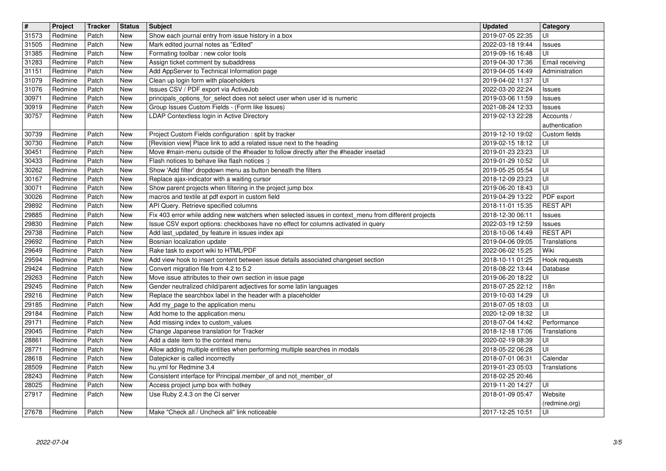| $\overline{\mathbf{H}}$ | Project            | <b>Tracker</b> | <b>Status</b> | <b>Subject</b>                                                                                                                                                                             | <b>Updated</b>                       | Category                    |
|-------------------------|--------------------|----------------|---------------|--------------------------------------------------------------------------------------------------------------------------------------------------------------------------------------------|--------------------------------------|-----------------------------|
| 31573<br>31505          | Redmine<br>Redmine | Patch<br>Patch | New<br>New    | Show each journal entry from issue history in a box<br>Mark edited journal notes as "Edited"                                                                                               | 2019-07-05 22:35<br>2022-03-18 19:44 | UI<br>Issues                |
| 31385<br>31283          | Redmine<br>Redmine | Patch<br>Patch | New<br>New    | Formating toolbar : new color tools<br>Assign ticket comment by subaddress                                                                                                                 | 2019-09-16 16:48<br>2019-04-30 17:36 | UI<br>Email receiving       |
| 31151                   | Redmine            | Patch          | New           | Add AppServer to Technical Information page                                                                                                                                                | 2019-04-05 14:49                     | Administration              |
| 31079<br>31076          | Redmine<br>Redmine | Patch<br>Patch | New<br>New    | Clean up login form with placeholders<br>Issues CSV / PDF export via ActiveJob                                                                                                             | 2019-04-02 11:37<br>2022-03-20 22:24 | UI<br>Issues                |
| 30971                   | Redmine            | Patch          | New           | principals_options_for_select does not select user when user id is numeric                                                                                                                 | 2019-03-06 11:59                     | Issues                      |
| 30919<br>30757          | Redmine<br>Redmine | Patch<br>Patch | New<br>New    | Group Issues Custom Fields - (Form like Issues)<br>LDAP Contextless login in Active Directory                                                                                              | 2021-08-24 12:33<br>2019-02-13 22:28 | Issues<br>Accounts /        |
|                         |                    |                |               |                                                                                                                                                                                            |                                      | authentication              |
| 30739<br>30730          | Redmine<br>Redmine | Patch<br>Patch | New<br>New    | Project Custom Fields configuration : split by tracker<br>[Revision view] Place link to add a related issue next to the heading                                                            | 2019-12-10 19:02<br>2019-02-15 18:12 | Custom fields<br>UI         |
| 30451                   | Redmine            | Patch          | New           | Move #main-menu outside of the #header to follow directly after the #header insetad                                                                                                        | 2019-01-23 23:23                     | UI                          |
| 30433<br>30262          | Redmine<br>Redmine | Patch<br>Patch | New<br>New    | Flash notices to behave like flash notices :)<br>Show 'Add filter' dropdown menu as button beneath the filters                                                                             | 2019-01-29 10:52<br>2019-05-25 05:54 | UI<br>UI                    |
| 30167                   | Redmine            | Patch          | New           | Replace ajax-indicator with a waiting cursor                                                                                                                                               | 2018-12-09 23:23                     | UI                          |
| 30071<br>30026          | Redmine<br>Redmine | Patch<br>Patch | New<br>New    | Show parent projects when filtering in the project jump box<br>macros and textile at pdf export in custom field                                                                            | 2019-06-20 18:43<br>2019-04-29 13:22 | UI<br>PDF export            |
| 29892                   | Redmine            | Patch          | New           | API Query. Retrieve specified columns                                                                                                                                                      | 2018-11-01 15:35                     | <b>REST API</b>             |
| 29885<br>29830          | Redmine<br>Redmine | Patch<br>Patch | New<br>New    | Fix 403 error while adding new watchers when selected issues in context_menu from different projects<br>Issue CSV export options: checkboxes have no effect for columns activated in query | 2018-12-30 06:11<br>2022-03-19 12:59 | Issues<br>Issues            |
| 29738                   | Redmine            | Patch          | New           | Add last_updated_by feature in issues index api                                                                                                                                            | 2018-10-06 14:49                     | <b>REST API</b>             |
| 29692<br>29649          | Redmine<br>Redmine | Patch<br>Patch | New<br>New    | Bosnian localization update<br>Rake task to export wiki to HTML/PDF                                                                                                                        | 2019-04-06 09:05<br>2022-06-02 15:25 | Translations<br>Wiki        |
| 29594                   | Redmine            | Patch          | New           | Add view hook to insert content between issue details associated changeset section                                                                                                         | 2018-10-11 01:25                     | Hook requests               |
| 29424<br>29263          | Redmine<br>Redmine | Patch<br>Patch | New<br>New    | Convert migration file from 4.2 to 5.2<br>Move issue attributes to their own section in issue page                                                                                         | 2018-08-22 13:44<br>2019-06-20 18:22 | Database<br>UI              |
| 29245                   | Redmine            | Patch          | New           | Gender neutralized child/parent adjectives for some latin languages                                                                                                                        | 2018-07-25 22:12                     | 118n                        |
| 29216<br>29185          | Redmine<br>Redmine | Patch<br>Patch | New<br>New    | Replace the searchbox label in the header with a placeholder<br>Add my_page to the application menu                                                                                        | 2019-10-03 14:29<br>2018-07-05 18:03 | UI<br>UI                    |
| 29184                   | Redmine            | Patch          | New           | Add home to the application menu                                                                                                                                                           | 2020-12-09 18:32                     | UI                          |
| 29171<br>29045          | Redmine<br>Redmine | Patch<br>Patch | New<br>New    | Add missing index to custom_values<br>Change Japanese translation for Tracker                                                                                                              | 2018-07-04 14:42<br>2018-12-18 17:06 | Performance<br>Translations |
| 28861                   | Redmine            | Patch          | New           | Add a date item to the context menu                                                                                                                                                        | 2020-02-19 08:39                     | UI                          |
| 28771<br>28618          | Redmine<br>Redmine | Patch<br>Patch | New<br>New    | Allow adding multiple entities when performing multiple searches in modals<br>Datepicker is called incorrectly                                                                             | 2018-05-22 06:28<br>2018-07-01 06:31 | UI<br>Calendar              |
| 28509<br>28243          | Redmine            | Patch          | New<br>New    | hu.yml for Redmine 3.4                                                                                                                                                                     | 2019-01-23 05:03                     | Translations                |
| 28025                   | Redmine<br>Redmine | Patch<br>Patch | New           | Consistent interface for Principal.member_of and not_member_of<br>Access project jump box with hotkey                                                                                      | 2018-02-25 20:46<br>2019-11-20 14:27 | UI                          |
| 27917                   | Redmine            | Patch          | New           | Use Ruby 2.4.3 on the CI server                                                                                                                                                            | 2018-01-09 05:47                     | Website                     |
| 27678                   | Redmine            | Patch          | New           | Make "Check all / Uncheck all" link noticeable                                                                                                                                             | 2017-12-25 10:51                     | (redmine.org)<br>UI         |
|                         |                    |                |               |                                                                                                                                                                                            |                                      |                             |
|                         |                    |                |               |                                                                                                                                                                                            |                                      |                             |
|                         |                    |                |               |                                                                                                                                                                                            |                                      |                             |
|                         |                    |                |               |                                                                                                                                                                                            |                                      |                             |
|                         |                    |                |               |                                                                                                                                                                                            |                                      |                             |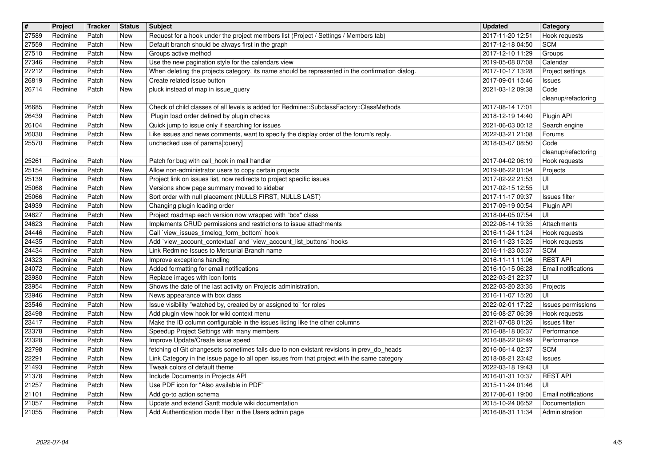| $\overline{\mathbf{H}}$ | Project            | <b>Tracker</b> | <b>Status</b> | <b>Subject</b>                                                                                                                                         | <b>Updated</b>                       | <b>Category</b>                        |
|-------------------------|--------------------|----------------|---------------|--------------------------------------------------------------------------------------------------------------------------------------------------------|--------------------------------------|----------------------------------------|
| 27589<br>27559          | Redmine<br>Redmine | Patch<br>Patch | New<br>New    | Request for a hook under the project members list (Project / Settings / Members tab)<br>Default branch should be always first in the graph             | 2017-11-20 12:51<br>2017-12-18 04:50 | Hook requests<br><b>SCM</b>            |
| 27510                   | Redmine            | Patch          | New           | Groups active method                                                                                                                                   | 2017-12-10 11:29                     | Groups                                 |
| 27346<br>27212          | Redmine<br>Redmine | Patch<br>Patch | New<br>New    | Use the new pagination style for the calendars view<br>When deleting the projects category, its name should be represented in the confirmation dialog. | 2019-05-08 07:08<br>2017-10-17 13:28 | Calendar<br>Project settings           |
| 26819                   | Redmine            | Patch          | New           | Create related issue button                                                                                                                            | 2017-09-01 15:46                     | <b>Issues</b>                          |
| 26714                   | Redmine            | Patch          | New           | pluck instead of map in issue_query                                                                                                                    | 2021-03-12 09:38                     | Code<br>cleanup/refactoring            |
| 26685                   | Redmine            | Patch          | New           | Check of child classes of all levels is added for Redmine::SubclassFactory::ClassMethods                                                               | 2017-08-14 17:01                     |                                        |
| 26439<br>26104          | Redmine<br>Redmine | Patch<br>Patch | New<br>New    | Plugin load order defined by plugin checks<br>Quick jump to issue only if searching for issues                                                         | 2018-12-19 14:40<br>2021-06-03 00:12 | Plugin API<br>Search engine            |
| 26030                   | Redmine            | Patch          | New           | Like issues and news comments, want to specify the display order of the forum's reply.                                                                 | 2022-03-21 21:08                     | Forums                                 |
| 25570                   | Redmine            | Patch          | New           | unchecked use of params[:query]                                                                                                                        | 2018-03-07 08:50                     | Code<br>cleanup/refactoring            |
| 25261                   | Redmine            | Patch          | New           | Patch for bug with call_hook in mail handler                                                                                                           | 2017-04-02 06:19                     | Hook requests                          |
| 25154<br>25139          | Redmine<br>Redmine | Patch<br>Patch | New<br>New    | Allow non-administrator users to copy certain projects<br>Project link on issues list, now redirects to project specific issues                        | 2019-06-22 01:04<br>2017-02-22 21:53 | Projects<br>UI                         |
| 25068                   | Redmine            | Patch          | New           | Versions show page summary moved to sidebar                                                                                                            | 2017-02-15 12:55                     | UI                                     |
| 25066<br>24939          | Redmine<br>Redmine | Patch<br>Patch | New<br>New    | Sort order with null placement (NULLS FIRST, NULLS LAST)<br>Changing plugin loading order                                                              | 2017-11-17 09:37<br>2017-09-19 00:54 | Issues filter                          |
| 24827                   | Redmine            | Patch          | New           | Project roadmap each version now wrapped with "box" class                                                                                              | 2018-04-05 07:54                     | Plugin API<br>UI                       |
| 24623<br>24446          | Redmine<br>Redmine | Patch<br>Patch | New<br>New    | Implements CRUD permissions and restrictions to issue attachments<br>Call 'view_issues_timelog_form_bottom' hook                                       | 2022-06-14 19:35<br>2016-11-24 11:24 | Attachments<br>Hook requests           |
| 24435                   | Redmine            | Patch          | New           | Add `view_account_contextual` and `view_account_list_buttons` hooks                                                                                    | 2016-11-23 15:25                     | Hook requests                          |
| 24434                   | Redmine            | Patch          | New           | Link Redmine Issues to Mercurial Branch name                                                                                                           | 2016-11-23 05:37                     | <b>SCM</b>                             |
| 24323<br>24072          | Redmine<br>Redmine | Patch<br>Patch | New<br>New    | Improve exceptions handling<br>Added formatting for email notifications                                                                                | 2016-11-11 11:06<br>2016-10-15 06:28 | <b>REST API</b><br>Email notifications |
| 23980                   | Redmine            | Patch          | New           | Replace images with icon fonts                                                                                                                         | 2022-03-21 22:37                     | UI                                     |
| 23954<br>23946          | Redmine<br>Redmine | Patch<br>Patch | New<br>New    | Shows the date of the last activity on Projects administration.<br>News appearance with box class                                                      | 2022-03-20 23:35<br>2016-11-07 15:20 | Projects<br>UI                         |
| 23546                   | Redmine            | Patch          | New           | Issue visibility "watched by, created by or assigned to" for roles                                                                                     | 2022-02-01 17:22                     | Issues permissions                     |
| 23498<br>23417          | Redmine<br>Redmine | Patch<br>Patch | New<br>New    | Add plugin view hook for wiki context menu<br>Make the ID column configurable in the issues listing like the other columns                             | 2016-08-27 06:39<br>2021-07-08 01:26 | Hook requests<br>Issues filter         |
| 23378                   | Redmine            | Patch          | New           | Speedup Project Settings with many members                                                                                                             | 2016-08-18 06:37                     | Performance                            |
| 23328<br>22798          | Redmine<br>Redmine | Patch<br>Patch | New<br>New    | Improve Update/Create issue speed<br>fetching of Git changesets sometimes fails due to non existant revisions in prev_db_heads                         | 2016-08-22 02:49<br>2016-06-14 02:37 | Performance<br><b>SCM</b>              |
| 22291                   | Redmine            | Patch          | New           | Link Category in the issue page to all open issues from that project with the same category                                                            | 2018-08-21 23:42                     | Issues                                 |
| 21493<br>21378          | Redmine<br>Redmine | Patch<br>Patch | New<br>New    | Tweak colors of default theme<br>Include Documents in Projects API                                                                                     | 2022-03-18 19:43<br>2016-01-31 10:37 | UI<br><b>REST API</b>                  |
| 21257                   | Redmine            | Patch          | New           | Use PDF icon for "Also available in PDF"                                                                                                               | 2015-11-24 01:46                     | UI                                     |
| 21101<br>21057          | Redmine<br>Redmine | Patch<br>Patch | New<br>New    | Add go-to action schema<br>Update and extend Gantt module wiki documentation                                                                           | 2017-06-01 19:00<br>2015-10-24 06:52 | Email notifications<br>Documentation   |
| 21055                   | Redmine            | Patch          | New           | Add Authentication mode filter in the Users admin page                                                                                                 | 2016-08-31 11:34                     | Administration                         |
|                         |                    |                |               |                                                                                                                                                        |                                      |                                        |
|                         |                    |                |               |                                                                                                                                                        |                                      |                                        |
|                         |                    |                |               |                                                                                                                                                        |                                      |                                        |
|                         |                    |                |               |                                                                                                                                                        |                                      |                                        |
|                         |                    |                |               |                                                                                                                                                        |                                      |                                        |
|                         |                    |                |               |                                                                                                                                                        |                                      |                                        |
|                         |                    |                |               |                                                                                                                                                        |                                      |                                        |